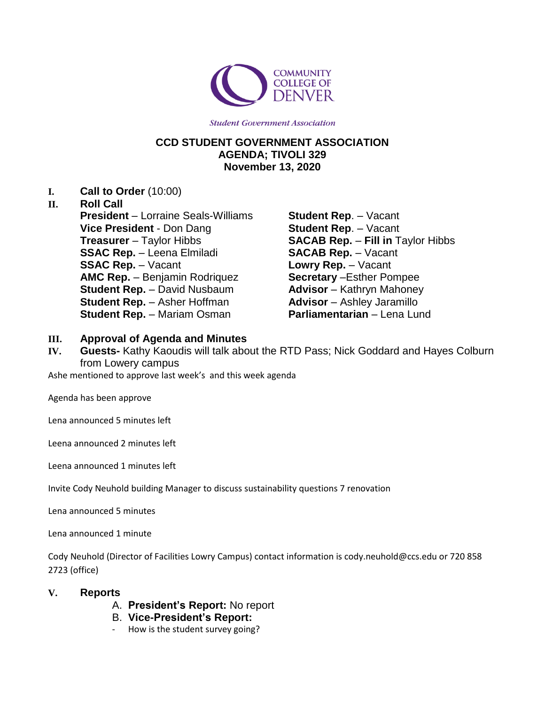

**Student Government Association** 

## **CCD STUDENT GOVERNMENT ASSOCIATION AGENDA; TIVOLI 329 November 13, 2020**

**I. Call to Order** (10:00)

#### **II. Roll Call**

**President** – Lorraine Seals-Williams **Vice President** - Don Dang **Treasurer** – Taylor Hibbs **SSAC Rep.** – Leena Elmiladi **SSAC Rep.** – Vacant **AMC Rep.** – Benjamin Rodriquez **Student Rep.** – David Nusbaum **Student Rep.** – Asher Hoffman **Student Rep.** – Mariam Osman

**Student Rep**. – Vacant **Student Rep**. – Vacant **SACAB Rep.** – **Fill in** Taylor Hibbs **SACAB Rep.** – Vacant **Lowry Rep.** – Vacant **Secretary** –Esther Pompee **Advisor** – Kathryn Mahoney **Advisor** – Ashley Jaramillo **Parliamentarian** – Lena Lund

### **III. Approval of Agenda and Minutes**

**IV. Guests-** Kathy Kaoudis will talk about the RTD Pass; Nick Goddard and Hayes Colburn from Lowery campus

Ashe mentioned to approve last week's and this week agenda

Agenda has been approve

Lena announced 5 minutes left

Leena announced 2 minutes left

Leena announced 1 minutes left

Invite Cody Neuhold building Manager to discuss sustainability questions 7 renovation

Lena announced 5 minutes

Lena announced 1 minute

Cody Neuhold (Director of Facilities Lowry Campus) contact information is cody.neuhold@ccs.edu or 720 858 2723 (office)

### **V. Reports**

- A. **President's Report:** No report
- B. **Vice-President's Report:**
	- How is the student survey going?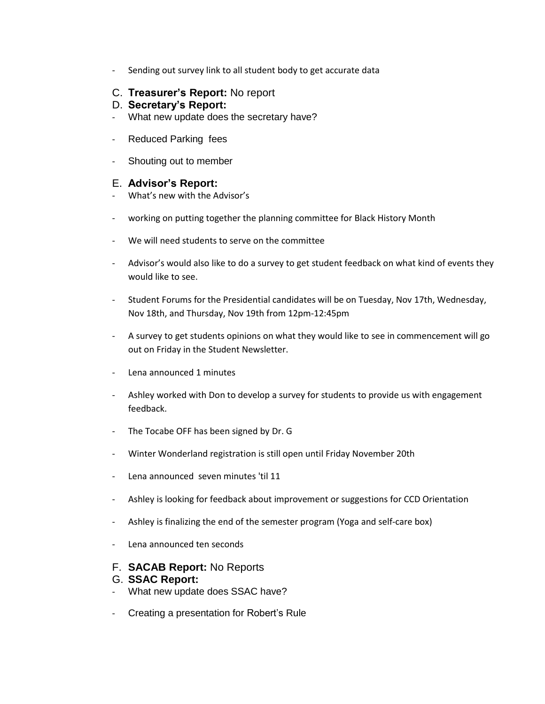- Sending out survey link to all student body to get accurate data

### C. **Treasurer's Report:** No report

### D. **Secretary's Report:**

- What new update does the secretary have?
- Reduced Parking fees
- Shouting out to member

## E. **Advisor's Report:**

- What's new with the Advisor's
- working on putting together the planning committee for Black History Month
- We will need students to serve on the committee
- Advisor's would also like to do a survey to get student feedback on what kind of events they would like to see.
- Student Forums for the Presidential candidates will be on Tuesday, Nov 17th, Wednesday, Nov 18th, and Thursday, Nov 19th from 12pm-12:45pm
- A survey to get students opinions on what they would like to see in commencement will go out on Friday in the Student Newsletter.
- Lena announced 1 minutes
- Ashley worked with Don to develop a survey for students to provide us with engagement feedback.
- The Tocabe OFF has been signed by Dr. G
- Winter Wonderland registration is still open until Friday November 20th
- Lena announced seven minutes 'til 11
- Ashley is looking for feedback about improvement or suggestions for CCD Orientation
- Ashley is finalizing the end of the semester program (Yoga and self-care box)
- Lena announced ten seconds

### F. **SACAB Report:** No Reports

### G. **SSAC Report:**

- What new update does SSAC have?
- Creating a presentation for Robert's Rule